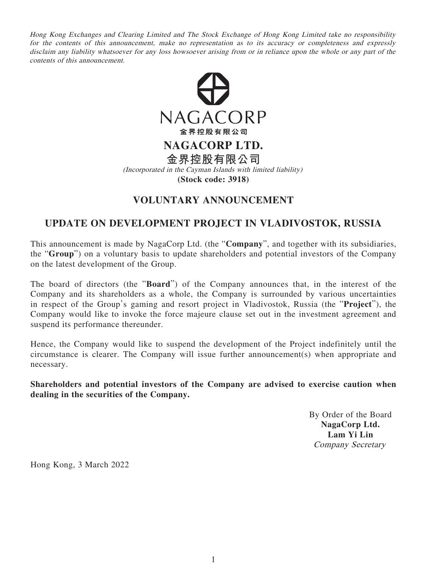Hong Kong Exchanges and Clearing Limited and The Stock Exchange of Hong Kong Limited take no responsibility for the contents of this announcement, make no representation as to its accuracy or completeness and expressly disclaim any liability whatsoever for any loss howsoever arising from or in reliance upon the whole or any part of the contents of this announcement.



## **VOLUNTARY ANNOUNCEMENT**

## **UPDATE ON DEVELOPMENT PROJECT IN VLADIVOSTOK, RUSSIA**

This announcement is made by NagaCorp Ltd. (the "**Company**", and together with its subsidiaries, the "**Group**") on a voluntary basis to update shareholders and potential investors of the Company on the latest development of the Group.

The board of directors (the "**Board**") of the Company announces that, in the interest of the Company and its shareholders as a whole, the Company is surrounded by various uncertainties in respect of the Group's gaming and resort project in Vladivostok, Russia (the "**Project**"), the Company would like to invoke the force majeure clause set out in the investment agreement and suspend its performance thereunder.

Hence, the Company would like to suspend the development of the Project indefinitely until the circumstance is clearer. The Company will issue further announcement(s) when appropriate and necessary.

**Shareholders and potential investors of the Company are advised to exercise caution when dealing in the securities of the Company.**

> By Order of the Board **NagaCorp Ltd. Lam Yi Lin** Company Secretary

Hong Kong, 3 March 2022